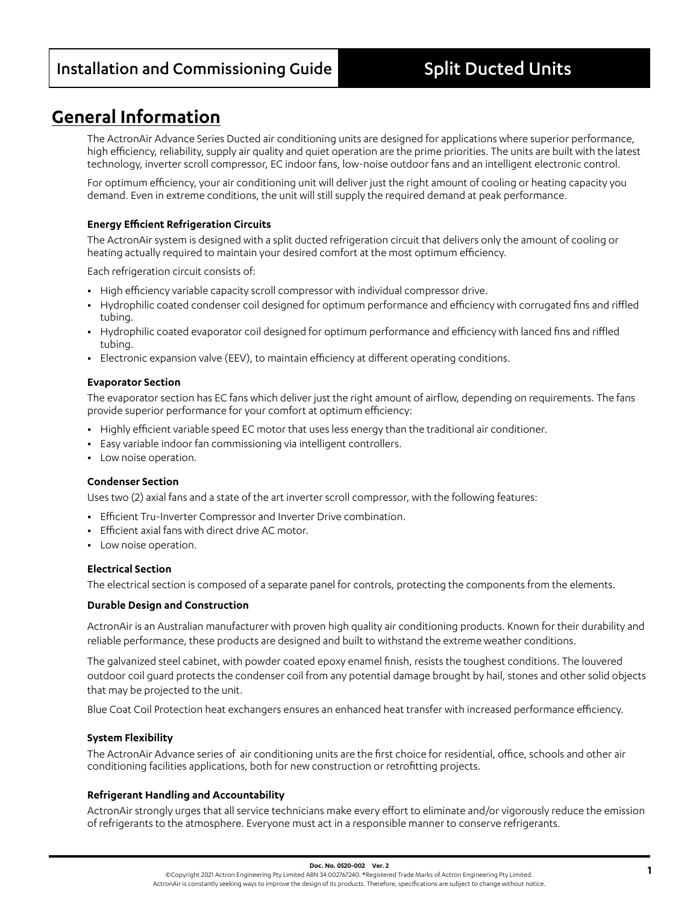# **General Information**

The ActronAir Advance Series Ducted air conditioning units are designed for applications where superior performance, high efficiency, reliability, supply air quality and quiet operation are the prime priorities. The units are built with the latest technology, inverter scroll compressor, EC indoor fans, low-noise outdoor fans and an intelligent electronic control.

For optimum efficiency, your air conditioning unit will deliver just the right amount of cooling or heating capacity you demand. Even in extreme conditions, the unit will still supply the required demand at peak performance.

## **Energy Efficient Refrigeration Circuits**

The ActronAir system is designed with a split ducted refrigeration circuit that delivers only the amount of cooling or heating actually required to maintain your desired comfort at the most optimum efficiency.

Each refrigeration circuit consists of:

- **•** High efficiency variable capacity scroll compressor with individual compressor drive.
- **•** Hydrophilic coated condenser coil designed for optimum performance and efficiency with corrugated fins and riffled tubing.
- **•** Hydrophilic coated evaporator coil designed for optimum performance and efficiency with lanced fins and riffled tubing.
- **•** Electronic expansion valve (EEV), to maintain efficiency at different operating conditions.

### **Evaporator Section**

The evaporator section has EC fans which deliver just the right amount of airflow, depending on requirements. The fans provide superior performance for your comfort at optimum efficiency:

- **•** Highly efficient variable speed EC motor that uses less energy than the traditional air conditioner.
- **•** Easy variable indoor fan commissioning via intelligent controllers.
- **•** Low noise operation.

### **Condenser Section**

Uses two (2) axial fans and a state of the art inverter scroll compressor, with the following features:

- **•** Efficient Tru-Inverter Compressor and Inverter Drive combination.
- **•** Efficient axial fans with direct drive AC motor.
- **•** Low noise operation.

### **Electrical Section**

The electrical section is composed of a separate panel for controls, protecting the components from the elements.

### **Durable Design and Construction**

ActronAir is an Australian manufacturer with proven high quality air conditioning products. Known for their durability and reliable performance, these products are designed and built to withstand the extreme weather conditions.

The galvanized steel cabinet, with powder coated epoxy enamel finish, resists the toughest conditions. The louvered outdoor coil guard protects the condenser coil from any potential damage brought by hail, stones and other solid objects that may be projected to the unit.

Blue Coat Coil Protection heat exchangers ensures an enhanced heat transfer with increased performance efficiency.

### **System Flexibility**

The ActronAir Advance series of air conditioning units are the first choice for residential, office, schools and other air conditioning facilities applications, both for new construction or retrofitting projects.

### **Refrigerant Handling and Accountability**

ActronAir strongly urges that all service technicians make every effort to eliminate and/or vigorously reduce the emission of refrigerants to the atmosphere. Everyone must act in a responsible manner to conserve refrigerants.